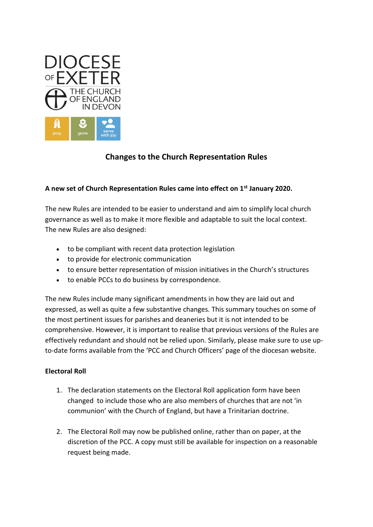

# **Changes to the Church Representation Rules**

# **A new set of Church Representation Rules came into effect on 1st January 2020.**

The new Rules are intended to be easier to understand and aim to simplify local church governance as well as to make it more flexible and adaptable to suit the local context. The new Rules are also designed:

- to be compliant with recent data protection legislation
- to provide for electronic communication
- to ensure better representation of mission initiatives in the Church's structures
- to enable PCCs to do business by correspondence.

The new Rules include many significant amendments in how they are laid out and expressed, as well as quite a few substantive changes. This summary touches on some of the most pertinent issues for parishes and deaneries but it is not intended to be comprehensive. However, it is important to realise that previous versions of the Rules are effectively redundant and should not be relied upon. Similarly, please make sure to use upto-date forms available from the 'PCC and Church Officers' page of the diocesan website.

# **Electoral Roll**

- 1. The declaration statements on the Electoral Roll application form have been changed to include those who are also members of churches that are not 'in communion' with the Church of England, but have a Trinitarian doctrine.
- 2. The Electoral Roll may now be published online, rather than on paper, at the discretion of the PCC. A copy must still be available for inspection on a reasonable request being made.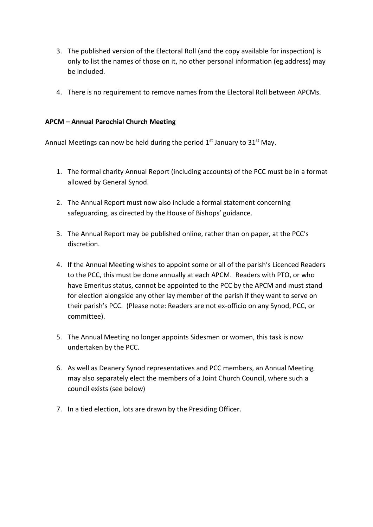- 3. The published version of the Electoral Roll (and the copy available for inspection) is only to list the names of those on it, no other personal information (eg address) may be included.
- 4. There is no requirement to remove names from the Electoral Roll between APCMs.

# **APCM – Annual Parochial Church Meeting**

Annual Meetings can now be held during the period  $1<sup>st</sup>$  January to  $31<sup>st</sup>$  May.

- 1. The formal charity Annual Report (including accounts) of the PCC must be in a format allowed by General Synod.
- 2. The Annual Report must now also include a formal statement concerning safeguarding, as directed by the House of Bishops' guidance.
- 3. The Annual Report may be published online, rather than on paper, at the PCC's discretion.
- 4. If the Annual Meeting wishes to appoint some or all of the parish's Licenced Readers to the PCC, this must be done annually at each APCM. Readers with PTO, or who have Emeritus status, cannot be appointed to the PCC by the APCM and must stand for election alongside any other lay member of the parish if they want to serve on their parish's PCC. (Please note: Readers are not ex-officio on any Synod, PCC, or committee).
- 5. The Annual Meeting no longer appoints Sidesmen or women, this task is now undertaken by the PCC.
- 6. As well as Deanery Synod representatives and PCC members, an Annual Meeting may also separately elect the members of a Joint Church Council, where such a council exists (see below)
- 7. In a tied election, lots are drawn by the Presiding Officer.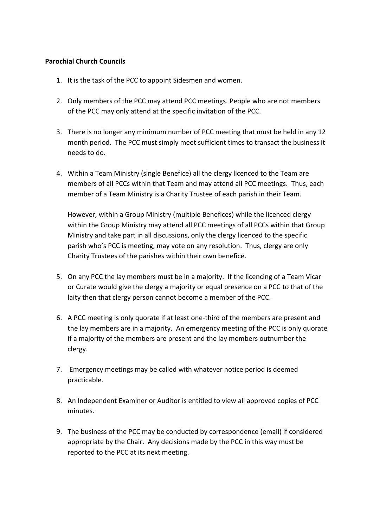#### **Parochial Church Councils**

- 1. It is the task of the PCC to appoint Sidesmen and women.
- 2. Only members of the PCC may attend PCC meetings. People who are not members of the PCC may only attend at the specific invitation of the PCC.
- 3. There is no longer any minimum number of PCC meeting that must be held in any 12 month period. The PCC must simply meet sufficient times to transact the business it needs to do.
- 4. Within a Team Ministry (single Benefice) all the clergy licenced to the Team are members of all PCCs within that Team and may attend all PCC meetings. Thus, each member of a Team Ministry is a Charity Trustee of each parish in their Team.

However, within a Group Ministry (multiple Benefices) while the licenced clergy within the Group Ministry may attend all PCC meetings of all PCCs within that Group Ministry and take part in all discussions, only the clergy licenced to the specific parish who's PCC is meeting, may vote on any resolution. Thus, clergy are only Charity Trustees of the parishes within their own benefice.

- 5. On any PCC the lay members must be in a majority. If the licencing of a Team Vicar or Curate would give the clergy a majority or equal presence on a PCC to that of the laity then that clergy person cannot become a member of the PCC.
- 6. A PCC meeting is only quorate if at least one-third of the members are present and the lay members are in a majority. An emergency meeting of the PCC is only quorate if a majority of the members are present and the lay members outnumber the clergy.
- 7. Emergency meetings may be called with whatever notice period is deemed practicable.
- 8. An Independent Examiner or Auditor is entitled to view all approved copies of PCC minutes.
- 9. The business of the PCC may be conducted by correspondence (email) if considered appropriate by the Chair. Any decisions made by the PCC in this way must be reported to the PCC at its next meeting.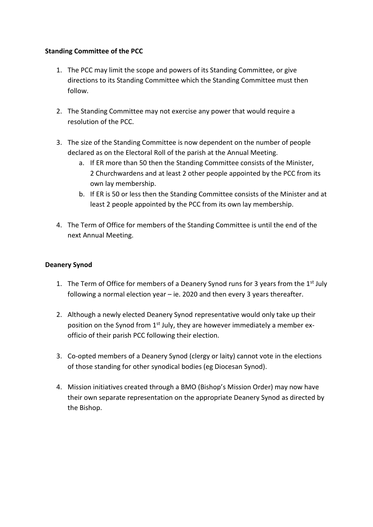# **Standing Committee of the PCC**

- 1. The PCC may limit the scope and powers of its Standing Committee, or give directions to its Standing Committee which the Standing Committee must then follow.
- 2. The Standing Committee may not exercise any power that would require a resolution of the PCC.
- 3. The size of the Standing Committee is now dependent on the number of people declared as on the Electoral Roll of the parish at the Annual Meeting.
	- a. If ER more than 50 then the Standing Committee consists of the Minister, 2 Churchwardens and at least 2 other people appointed by the PCC from its own lay membership.
	- b. If ER is 50 or less then the Standing Committee consists of the Minister and at least 2 people appointed by the PCC from its own lay membership.
- 4. The Term of Office for members of the Standing Committee is until the end of the next Annual Meeting.

# **Deanery Synod**

- 1. The Term of Office for members of a Deanery Synod runs for 3 years from the  $1<sup>st</sup>$  July following a normal election year – ie. 2020 and then every 3 years thereafter.
- 2. Although a newly elected Deanery Synod representative would only take up their position on the Synod from 1<sup>st</sup> July, they are however immediately a member exofficio of their parish PCC following their election.
- 3. Co-opted members of a Deanery Synod (clergy or laity) cannot vote in the elections of those standing for other synodical bodies (eg Diocesan Synod).
- 4. Mission initiatives created through a BMO (Bishop's Mission Order) may now have their own separate representation on the appropriate Deanery Synod as directed by the Bishop.